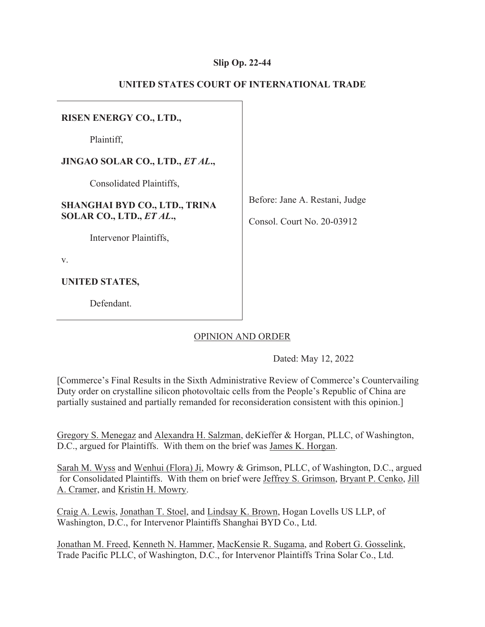## **Slip Op. 22-44**

| <b>RISEN ENERGY CO., LTD.,</b>       |                                |
|--------------------------------------|--------------------------------|
| Plaintiff,                           |                                |
| JINGAO SOLAR CO., LTD., ET AL.,      |                                |
| Consolidated Plaintiffs,             |                                |
| <b>SHANGHAI BYD CO., LTD., TRINA</b> | Before: Jane A. Restani, Judge |
| SOLAR CO., LTD., ET AL.,             | Consol. Court No. 20-03912     |
| Intervenor Plaintiffs,               |                                |
| V.                                   |                                |
| UNITED STATES,                       |                                |
| Defendant.                           |                                |

# **UNITED STATES COURT OF INTERNATIONAL TRADE**

## OPINION AND ORDER

Dated: May 12, 2022

[Commerce's Final Results in the Sixth Administrative Review of Commerce's Countervailing Duty order on crystalline silicon photovoltaic cells from the People's Republic of China are partially sustained and partially remanded for reconsideration consistent with this opinion.]

Gregory S. Menegaz and Alexandra H. Salzman, deKieffer & Horgan, PLLC, of Washington, D.C., argued for Plaintiffs. With them on the brief was James K. Horgan.

Sarah M. Wyss and Wenhui (Flora) Ji, Mowry & Grimson, PLLC, of Washington, D.C., argued for Consolidated Plaintiffs. With them on brief were Jeffrey S. Grimson, Bryant P. Cenko, Jill A. Cramer, and Kristin H. Mowry.

Craig A. Lewis, Jonathan T. Stoel, and Lindsay K. Brown, Hogan Lovells US LLP, of Washington, D.C., for Intervenor Plaintiffs Shanghai BYD Co., Ltd.

Jonathan M. Freed, Kenneth N. Hammer, MacKensie R. Sugama, and Robert G. Gosselink, Trade Pacific PLLC, of Washington, D.C., for Intervenor Plaintiffs Trina Solar Co., Ltd.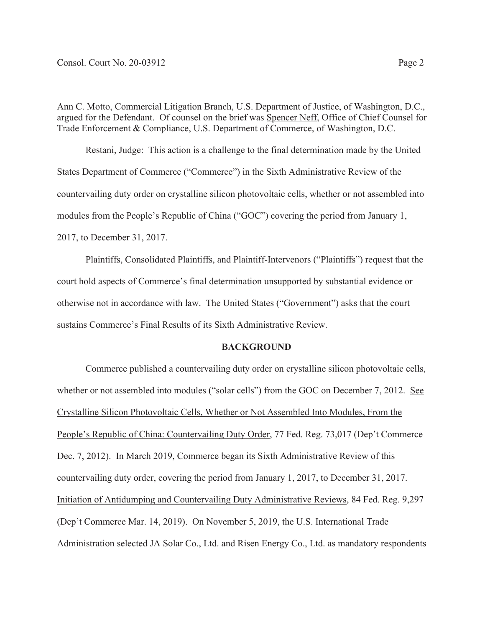Ann C. Motto, Commercial Litigation Branch, U.S. Department of Justice, of Washington, D.C., argued for the Defendant. Of counsel on the brief was Spencer Neff, Office of Chief Counsel for Trade Enforcement & Compliance, U.S. Department of Commerce, of Washington, D.C.

Restani, Judge: This action is a challenge to the final determination made by the United States Department of Commerce ("Commerce") in the Sixth Administrative Review of the countervailing duty order on crystalline silicon photovoltaic cells, whether or not assembled into modules from the People's Republic of China ("GOC") covering the period from January 1, 2017, to December 31, 2017.

Plaintiffs, Consolidated Plaintiffs, and Plaintiff-Intervenors ("Plaintiffs") request that the court hold aspects of Commerce's final determination unsupported by substantial evidence or otherwise not in accordance with law. The United States ("Government") asks that the court sustains Commerce's Final Results of its Sixth Administrative Review.

### **BACKGROUND**

 Commerce published a countervailing duty order on crystalline silicon photovoltaic cells, whether or not assembled into modules ("solar cells") from the GOC on December 7, 2012. See Crystalline Silicon Photovoltaic Cells, Whether or Not Assembled Into Modules, From the People's Republic of China: Countervailing Duty Order, 77 Fed. Reg. 73,017 (Dep't Commerce Dec. 7, 2012). In March 2019, Commerce began its Sixth Administrative Review of this countervailing duty order, covering the period from January 1, 2017, to December 31, 2017. Initiation of Antidumping and Countervailing Duty Administrative Reviews, 84 Fed. Reg. 9,297 (Dep't Commerce Mar. 14, 2019). On November 5, 2019, the U.S. International Trade Administration selected JA Solar Co., Ltd. and Risen Energy Co., Ltd. as mandatory respondents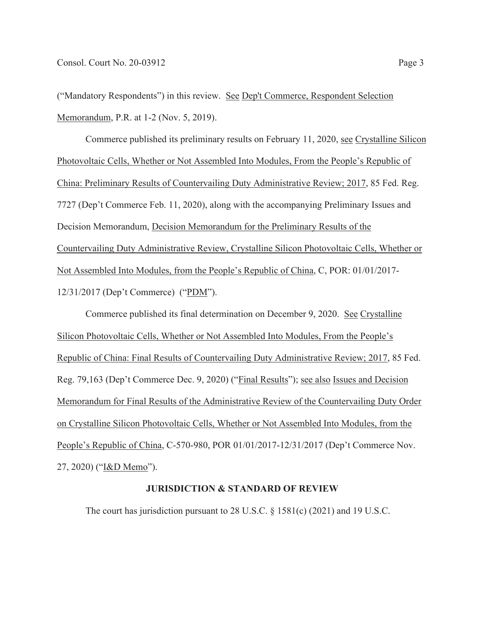("Mandatory Respondents") in this review. See Dep't Commerce, Respondent Selection Memorandum, P.R. at 1-2 (Nov. 5, 2019).

Commerce published its preliminary results on February 11, 2020, see Crystalline Silicon Photovoltaic Cells, Whether or Not Assembled Into Modules, From the People's Republic of China: Preliminary Results of Countervailing Duty Administrative Review; 2017, 85 Fed. Reg. 7727 (Dep't Commerce Feb. 11, 2020), along with the accompanying Preliminary Issues and Decision Memorandum, Decision Memorandum for the Preliminary Results of the Countervailing Duty Administrative Review, Crystalline Silicon Photovoltaic Cells, Whether or Not Assembled Into Modules, from the People's Republic of China, C, POR: 01/01/2017- 12/31/2017 (Dep't Commerce) ("PDM").

Commerce published its final determination on December 9, 2020. See Crystalline Silicon Photovoltaic Cells, Whether or Not Assembled Into Modules, From the People's Republic of China: Final Results of Countervailing Duty Administrative Review; 2017, 85 Fed. Reg. 79,163 (Dep't Commerce Dec. 9, 2020) ("Final Results"); see also Issues and Decision Memorandum for Final Results of the Administrative Review of the Countervailing Duty Order on Crystalline Silicon Photovoltaic Cells, Whether or Not Assembled Into Modules, from the People's Republic of China, C-570-980, POR 01/01/2017-12/31/2017 (Dep't Commerce Nov. 27, 2020) ("I&D Memo").

### **JURISDICTION & STANDARD OF REVIEW**

The court has jurisdiction pursuant to 28 U.S.C. § 1581(c) (2021) and 19 U.S.C.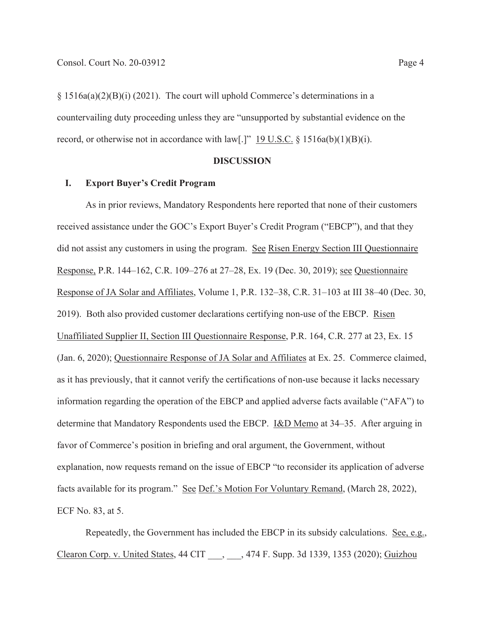§ 1516a(a)(2)(B)(i) (2021). The court will uphold Commerce's determinations in a countervailing duty proceeding unless they are "unsupported by substantial evidence on the record, or otherwise not in accordance with law[.]"  $19$  U.S.C. § 1516a(b)(1)(B)(i).

### **DISCUSSION**

### **I. Export Buyer's Credit Program**

As in prior reviews, Mandatory Respondents here reported that none of their customers received assistance under the GOC's Export Buyer's Credit Program ("EBCP"), and that they did not assist any customers in using the program. See Risen Energy Section III Questionnaire Response, P.R. 144–162, C.R. 109–276 at 27–28, Ex. 19 (Dec. 30, 2019); see Questionnaire Response of JA Solar and Affiliates, Volume 1, P.R. 132–38, C.R. 31–103 at III 38–40 (Dec. 30, 2019). Both also provided customer declarations certifying non-use of the EBCP. Risen Unaffiliated Supplier II, Section III Questionnaire Response, P.R. 164, C.R. 277 at 23, Ex. 15 (Jan. 6, 2020); Questionnaire Response of JA Solar and Affiliates at Ex. 25. Commerce claimed, as it has previously, that it cannot verify the certifications of non-use because it lacks necessary information regarding the operation of the EBCP and applied adverse facts available ("AFA") to determine that Mandatory Respondents used the EBCP. I&D Memo at 34–35. After arguing in favor of Commerce's position in briefing and oral argument, the Government, without explanation, now requests remand on the issue of EBCP "to reconsider its application of adverse facts available for its program." See Def.'s Motion For Voluntary Remand, (March 28, 2022), ECF No. 83, at 5.

Repeatedly, the Government has included the EBCP in its subsidy calculations. See, e.g., Clearon Corp. v. United States, 44 CIT \_\_\_, \_\_\_, 474 F. Supp. 3d 1339, 1353 (2020); Guizhou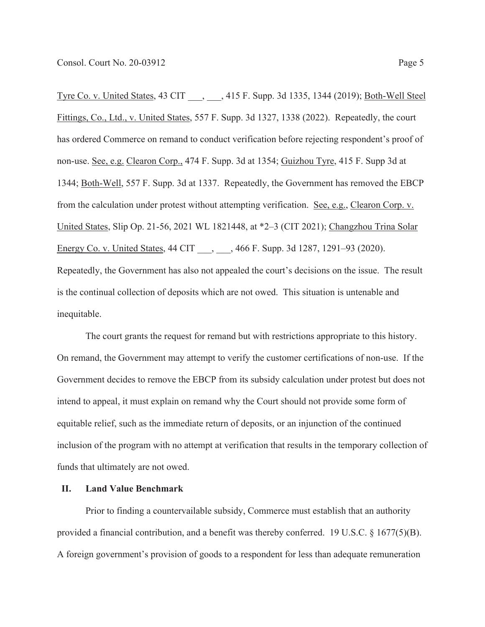Tyre Co. v. United States, 43 CIT \_\_\_, \_\_\_, 415 F. Supp. 3d 1335, 1344 (2019); Both-Well Steel Fittings, Co., Ltd., v. United States, 557 F. Supp. 3d 1327, 1338 (2022). Repeatedly, the court has ordered Commerce on remand to conduct verification before rejecting respondent's proof of non-use. See, e.g. Clearon Corp., 474 F. Supp. 3d at 1354; Guizhou Tyre, 415 F. Supp 3d at 1344; Both-Well, 557 F. Supp. 3d at 1337. Repeatedly, the Government has removed the EBCP from the calculation under protest without attempting verification. See, e.g., Clearon Corp. v. United States, Slip Op. 21-56, 2021 WL 1821448, at \*2–3 (CIT 2021); Changzhou Trina Solar Energy Co. v. United States, 44 CIT \_\_\_, \_\_\_, 466 F. Supp. 3d 1287, 1291–93 (2020). Repeatedly, the Government has also not appealed the court's decisions on the issue. The result is the continual collection of deposits which are not owed. This situation is untenable and inequitable.

The court grants the request for remand but with restrictions appropriate to this history. On remand, the Government may attempt to verify the customer certifications of non-use. If the Government decides to remove the EBCP from its subsidy calculation under protest but does not intend to appeal, it must explain on remand why the Court should not provide some form of equitable relief, such as the immediate return of deposits, or an injunction of the continued inclusion of the program with no attempt at verification that results in the temporary collection of funds that ultimately are not owed.

## **II. Land Value Benchmark**

Prior to finding a countervailable subsidy, Commerce must establish that an authority provided a financial contribution, and a benefit was thereby conferred. 19 U.S.C. § 1677(5)(B). A foreign government's provision of goods to a respondent for less than adequate remuneration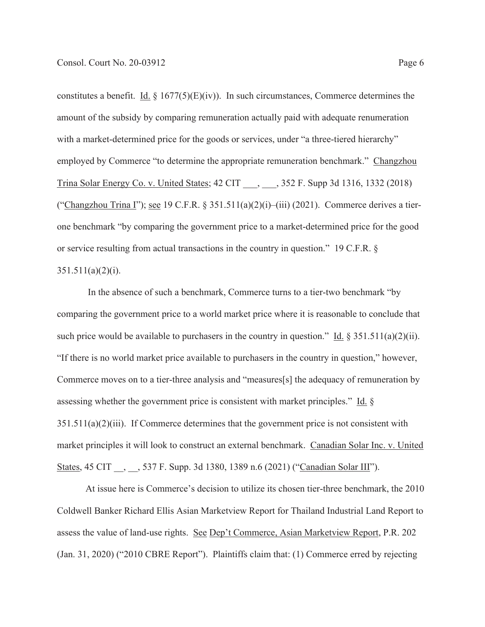constitutes a benefit. Id.  $\S 1677(5)(E)(iv)$ . In such circumstances, Commerce determines the amount of the subsidy by comparing remuneration actually paid with adequate renumeration with a market-determined price for the goods or services, under "a three-tiered hierarchy" employed by Commerce "to determine the appropriate remuneration benchmark." Changzhou Trina Solar Energy Co. v. United States; 42 CIT , 352 F. Supp 3d 1316, 1332 (2018) ("Changzhou Trina I"); see 19 C.F.R. § 351.511(a)(2)(i)–(iii) (2021). Commerce derives a tierone benchmark "by comparing the government price to a market-determined price for the good or service resulting from actual transactions in the country in question." 19 C.F.R. §  $351.511(a)(2)(i)$ .

 In the absence of such a benchmark, Commerce turns to a tier-two benchmark "by comparing the government price to a world market price where it is reasonable to conclude that such price would be available to purchasers in the country in question." Id.  $\S 351.511(a)(2)(ii)$ . "If there is no world market price available to purchasers in the country in question," however, Commerce moves on to a tier-three analysis and "measures[s] the adequacy of remuneration by assessing whether the government price is consistent with market principles." Id. §  $351.511(a)(2)(iii)$ . If Commerce determines that the government price is not consistent with market principles it will look to construct an external benchmark. Canadian Solar Inc. v. United States, 45 CIT \_\_, \_\_, 537 F. Supp. 3d 1380, 1389 n.6 (2021) ("Canadian Solar III").

 At issue here is Commerce's decision to utilize its chosen tier-three benchmark, the 2010 Coldwell Banker Richard Ellis Asian Marketview Report for Thailand Industrial Land Report to assess the value of land-use rights. See Dep't Commerce, Asian Marketview Report, P.R. 202 (Jan. 31, 2020) ("2010 CBRE Report"). Plaintiffs claim that: (1) Commerce erred by rejecting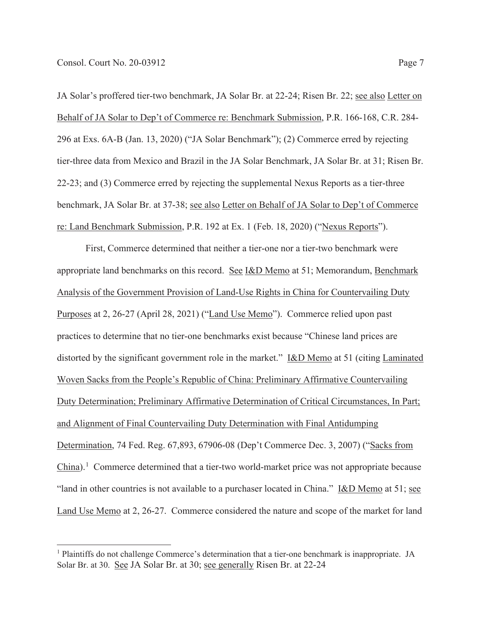JA Solar's proffered tier-two benchmark, JA Solar Br. at 22-24; Risen Br. 22; see also Letter on Behalf of JA Solar to Dep't of Commerce re: Benchmark Submission, P.R. 166-168, C.R. 284- 296 at Exs. 6A-B (Jan. 13, 2020) ("JA Solar Benchmark"); (2) Commerce erred by rejecting tier-three data from Mexico and Brazil in the JA Solar Benchmark, JA Solar Br. at 31; Risen Br. 22-23; and (3) Commerce erred by rejecting the supplemental Nexus Reports as a tier-three benchmark, JA Solar Br. at 37-38; see also Letter on Behalf of JA Solar to Dep't of Commerce re: Land Benchmark Submission, P.R. 192 at Ex. 1 (Feb. 18, 2020) ("Nexus Reports").

 First, Commerce determined that neither a tier-one nor a tier-two benchmark were appropriate land benchmarks on this record. See I&D Memo at 51; Memorandum, Benchmark Analysis of the Government Provision of Land-Use Rights in China for Countervailing Duty Purposes at 2, 26-27 (April 28, 2021) ("Land Use Memo"). Commerce relied upon past practices to determine that no tier-one benchmarks exist because "Chinese land prices are distorted by the significant government role in the market." I&D Memo at 51 (citing Laminated Woven Sacks from the People's Republic of China: Preliminary Affirmative Countervailing Duty Determination; Preliminary Affirmative Determination of Critical Circumstances, In Part; and Alignment of Final Countervailing Duty Determination with Final Antidumping Determination, 74 Fed. Reg. 67,893, 67906-08 (Dep't Commerce Dec. 3, 2007) ("Sacks from  $China$ ).<sup>1</sup> Commerce determined that a tier-two world-market price was not appropriate because "land in other countries is not available to a purchaser located in China." I&D Memo at 51; see Land Use Memo at 2, 26-27. Commerce considered the nature and scope of the market for land

<sup>&</sup>lt;sup>1</sup> Plaintiffs do not challenge Commerce's determination that a tier-one benchmark is inappropriate. JA Solar Br. at 30. See JA Solar Br. at 30; see generally Risen Br. at 22-24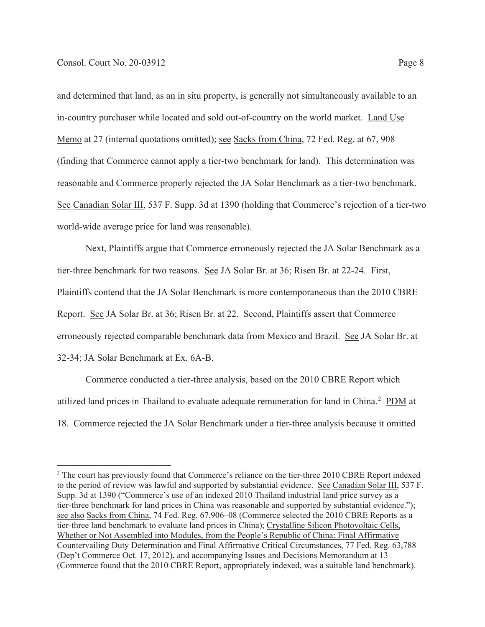and determined that land, as an in situ property, is generally not simultaneously available to an in-country purchaser while located and sold out-of-country on the world market. Land Use Memo at 27 (internal quotations omitted); <u>see Sacks from China</u>, 72 Fed. Reg. at 67, 908 (finding that Commerce cannot apply a tier-two benchmark for land). This determination was reasonable and Commerce properly rejected the JA Solar Benchmark as a tier-two benchmark. See Canadian Solar III, 537 F. Supp. 3d at 1390 (holding that Commerce's rejection of a tier-two world-wide average price for land was reasonable).

 Next, Plaintiffs argue that Commerce erroneously rejected the JA Solar Benchmark as a tier-three benchmark for two reasons. See JA Solar Br. at 36; Risen Br. at 22-24. First, Plaintiffs contend that the JA Solar Benchmark is more contemporaneous than the 2010 CBRE Report. See JA Solar Br. at 36; Risen Br. at 22. Second, Plaintiffs assert that Commerce erroneously rejected comparable benchmark data from Mexico and Brazil. See JA Solar Br. at 32-34; JA Solar Benchmark at Ex. 6A-B.

 Commerce conducted a tier-three analysis, based on the 2010 CBRE Report which utilized land prices in Thailand to evaluate adequate remuneration for land in China.<sup>2</sup> PDM at 18. Commerce rejected the JA Solar Benchmark under a tier-three analysis because it omitted

 $2$  The court has previously found that Commerce's reliance on the tier-three 2010 CBRE Report indexed to the period of review was lawful and supported by substantial evidence. See Canadian Solar III, 537 F. Supp. 3d at 1390 ("Commerce's use of an indexed 2010 Thailand industrial land price survey as a tier-three benchmark for land prices in China was reasonable and supported by substantial evidence."); see also Sacks from China, 74 Fed. Reg. 67,906–08 (Commerce selected the 2010 CBRE Reports as a tier-three land benchmark to evaluate land prices in China); Crystalline Silicon Photovoltaic Cells, Whether or Not Assembled into Modules, from the People's Republic of China: Final Affirmative Countervailing Duty Determination and Final Affirmative Critical Circumstances, 77 Fed. Reg. 63,788 (Dep't Commerce Oct. 17, 2012), and accompanying Issues and Decisions Memorandum at 13 (Commerce found that the 2010 CBRE Report, appropriately indexed, was a suitable land benchmark).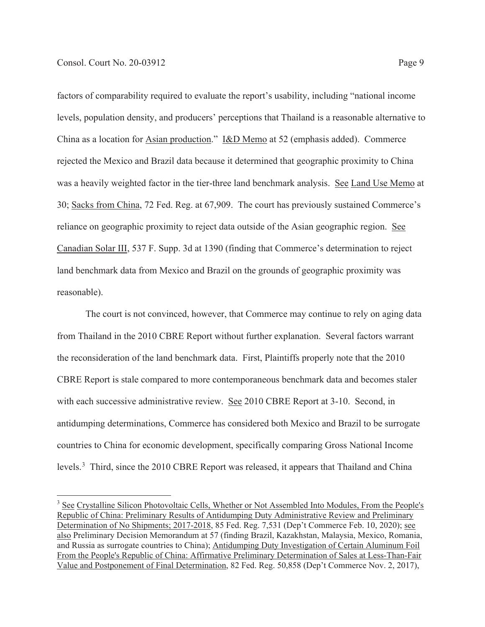factors of comparability required to evaluate the report's usability, including "national income levels, population density, and producers' perceptions that Thailand is a reasonable alternative to China as a location for Asian production." I&D Memo at 52 (emphasis added). Commerce rejected the Mexico and Brazil data because it determined that geographic proximity to China was a heavily weighted factor in the tier-three land benchmark analysis. See Land Use Memo at 30; Sacks from China, 72 Fed. Reg. at 67,909. The court has previously sustained Commerce's reliance on geographic proximity to reject data outside of the Asian geographic region. See Canadian Solar III, 537 F. Supp. 3d at 1390 (finding that Commerce's determination to reject land benchmark data from Mexico and Brazil on the grounds of geographic proximity was reasonable).

 The court is not convinced, however, that Commerce may continue to rely on aging data from Thailand in the 2010 CBRE Report without further explanation. Several factors warrant the reconsideration of the land benchmark data. First, Plaintiffs properly note that the 2010 CBRE Report is stale compared to more contemporaneous benchmark data and becomes staler with each successive administrative review. See 2010 CBRE Report at 3-10. Second, in antidumping determinations, Commerce has considered both Mexico and Brazil to be surrogate countries to China for economic development, specifically comparing Gross National Income levels.<sup>3</sup> Third, since the 2010 CBRE Report was released, it appears that Thailand and China

<sup>&</sup>lt;sup>3</sup> See Crystalline Silicon Photovoltaic Cells, Whether or Not Assembled Into Modules, From the People's Republic of China: Preliminary Results of Antidumping Duty Administrative Review and Preliminary Determination of No Shipments; 2017-2018, 85 Fed. Reg. 7,531 (Dep't Commerce Feb. 10, 2020); see also Preliminary Decision Memorandum at 57 (finding Brazil, Kazakhstan, Malaysia, Mexico, Romania, and Russia as surrogate countries to China); Antidumping Duty Investigation of Certain Aluminum Foil From the People's Republic of China: Affirmative Preliminary Determination of Sales at Less-Than-Fair Value and Postponement of Final Determination, 82 Fed. Reg. 50,858 (Dep't Commerce Nov. 2, 2017),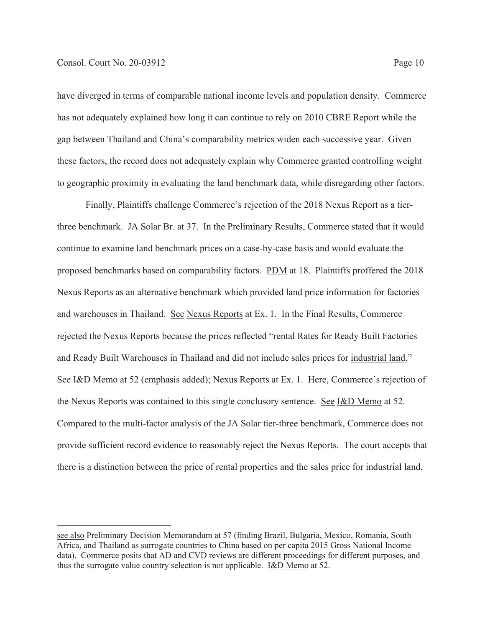have diverged in terms of comparable national income levels and population density. Commerce has not adequately explained how long it can continue to rely on 2010 CBRE Report while the gap between Thailand and China's comparability metrics widen each successive year. Given these factors, the record does not adequately explain why Commerce granted controlling weight to geographic proximity in evaluating the land benchmark data, while disregarding other factors.

 Finally, Plaintiffs challenge Commerce's rejection of the 2018 Nexus Report as a tierthree benchmark. JA Solar Br. at 37. In the Preliminary Results, Commerce stated that it would continue to examine land benchmark prices on a case-by-case basis and would evaluate the proposed benchmarks based on comparability factors. PDM at 18. Plaintiffs proffered the 2018 Nexus Reports as an alternative benchmark which provided land price information for factories and warehouses in Thailand. See Nexus Reports at Ex. 1. In the Final Results, Commerce rejected the Nexus Reports because the prices reflected "rental Rates for Ready Built Factories and Ready Built Warehouses in Thailand and did not include sales prices for industrial land." See I&D Memo at 52 (emphasis added); Nexus Reports at Ex. 1. Here, Commerce's rejection of the Nexus Reports was contained to this single conclusory sentence. See I&D Memo at 52. Compared to the multi-factor analysis of the JA Solar tier-three benchmark, Commerce does not provide sufficient record evidence to reasonably reject the Nexus Reports. The court accepts that there is a distinction between the price of rental properties and the sales price for industrial land,

see also Preliminary Decision Memorandum at 57 (finding Brazil, Bulgaria, Mexico, Romania, South Africa, and Thailand as surrogate countries to China based on per capita 2015 Gross National Income data). Commerce posits that AD and CVD reviews are different proceedings for different purposes, and thus the surrogate value country selection is not applicable. I&D Memo at 52.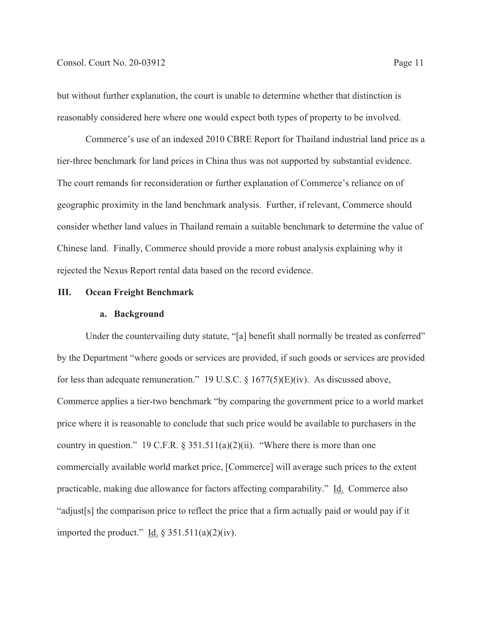but without further explanation, the court is unable to determine whether that distinction is reasonably considered here where one would expect both types of property to be involved.

 Commerce's use of an indexed 2010 CBRE Report for Thailand industrial land price as a tier-three benchmark for land prices in China thus was not supported by substantial evidence. The court remands for reconsideration or further explanation of Commerce's reliance on of geographic proximity in the land benchmark analysis. Further, if relevant, Commerce should consider whether land values in Thailand remain a suitable benchmark to determine the value of Chinese land. Finally, Commerce should provide a more robust analysis explaining why it rejected the Nexus Report rental data based on the record evidence.

### **III. Ocean Freight Benchmark**

#### **a. Background**

Under the countervailing duty statute, "[a] benefit shall normally be treated as conferred" by the Department "where goods or services are provided, if such goods or services are provided for less than adequate remuneration." 19 U.S.C.  $\S$  1677(5)(E)(iv). As discussed above, Commerce applies a tier-two benchmark "by comparing the government price to a world market price where it is reasonable to conclude that such price would be available to purchasers in the country in question." 19 C.F.R.  $\S 351.511(a)(2)(ii)$ . "Where there is more than one commercially available world market price, [Commerce] will average such prices to the extent practicable, making due allowance for factors affecting comparability." Id. Commerce also "adjust[s] the comparison price to reflect the price that a firm actually paid or would pay if it imported the product." Id.  $\S 351.511(a)(2)(iv)$ .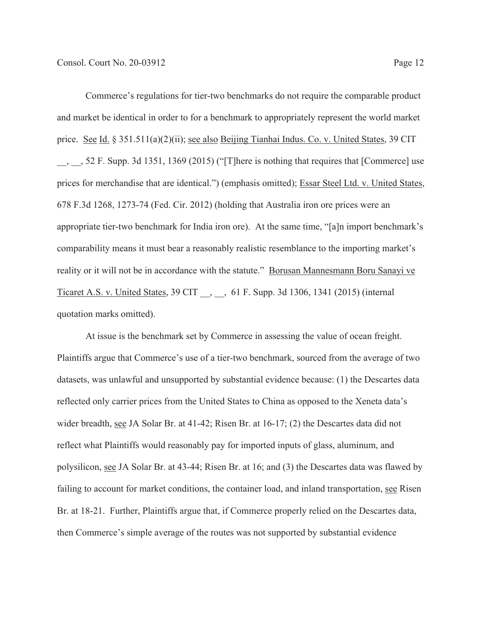Commerce's regulations for tier-two benchmarks do not require the comparable product and market be identical in order to for a benchmark to appropriately represent the world market price. See Id. § 351.511(a)(2)(ii); see also Beijing Tianhai Indus. Co. v. United States, 39 CIT \_\_, \_\_, 52 F. Supp. 3d 1351, 1369 (2015) ("[T]here is nothing that requires that [Commerce] use prices for merchandise that are identical.") (emphasis omitted); Essar Steel Ltd. v. United States, 678 F.3d 1268, 1273-74 (Fed. Cir. 2012) (holding that Australia iron ore prices were an appropriate tier-two benchmark for India iron ore). At the same time, "[a]n import benchmark's comparability means it must bear a reasonably realistic resemblance to the importing market's reality or it will not be in accordance with the statute." Borusan Mannesmann Boru Sanayi ve Ticaret A.S. v. United States, 39 CIT, , 61 F. Supp. 3d 1306, 1341 (2015) (internal quotation marks omitted).

 At issue is the benchmark set by Commerce in assessing the value of ocean freight. Plaintiffs argue that Commerce's use of a tier-two benchmark, sourced from the average of two datasets, was unlawful and unsupported by substantial evidence because: (1) the Descartes data reflected only carrier prices from the United States to China as opposed to the Xeneta data's wider breadth, see JA Solar Br. at 41-42; Risen Br. at 16-17; (2) the Descartes data did not reflect what Plaintiffs would reasonably pay for imported inputs of glass, aluminum, and polysilicon, see JA Solar Br. at 43-44; Risen Br. at 16; and (3) the Descartes data was flawed by failing to account for market conditions, the container load, and inland transportation, see Risen Br. at 18-21. Further, Plaintiffs argue that, if Commerce properly relied on the Descartes data, then Commerce's simple average of the routes was not supported by substantial evidence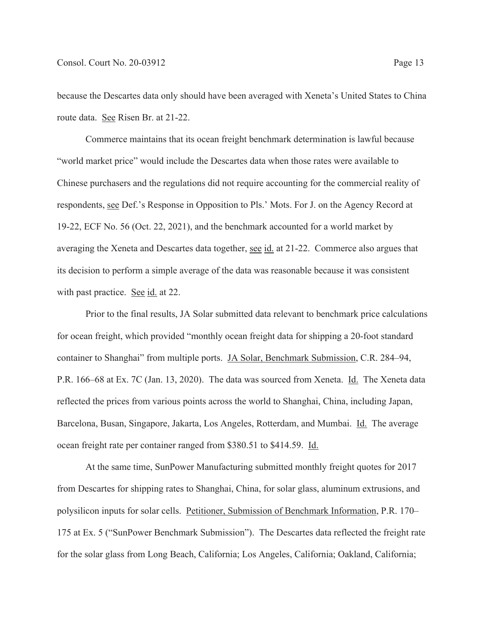because the Descartes data only should have been averaged with Xeneta's United States to China route data. See Risen Br. at 21-22.

 Commerce maintains that its ocean freight benchmark determination is lawful because "world market price" would include the Descartes data when those rates were available to Chinese purchasers and the regulations did not require accounting for the commercial reality of respondents, see Def.'s Response in Opposition to Pls.' Mots. For J. on the Agency Record at 19-22, ECF No. 56 (Oct. 22, 2021), and the benchmark accounted for a world market by averaging the Xeneta and Descartes data together, see id. at 21-22. Commerce also argues that its decision to perform a simple average of the data was reasonable because it was consistent with past practice. See id. at 22.

Prior to the final results, JA Solar submitted data relevant to benchmark price calculations for ocean freight, which provided "monthly ocean freight data for shipping a 20-foot standard container to Shanghai" from multiple ports. JA Solar, Benchmark Submission, C.R. 284–94, P.R. 166–68 at Ex. 7C (Jan. 13, 2020). The data was sourced from Xeneta. Id. The Xeneta data reflected the prices from various points across the world to Shanghai, China, including Japan, Barcelona, Busan, Singapore, Jakarta, Los Angeles, Rotterdam, and Mumbai. *Id.* The average ocean freight rate per container ranged from \$380.51 to \$414.59. Id.

At the same time, SunPower Manufacturing submitted monthly freight quotes for 2017 from Descartes for shipping rates to Shanghai, China, for solar glass, aluminum extrusions, and polysilicon inputs for solar cells. Petitioner, Submission of Benchmark Information, P.R. 170– 175 at Ex. 5 ("SunPower Benchmark Submission"). The Descartes data reflected the freight rate for the solar glass from Long Beach, California; Los Angeles, California; Oakland, California;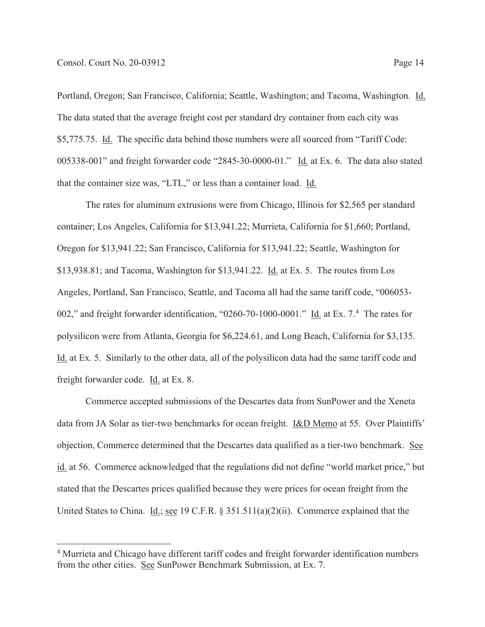Portland, Oregon; San Francisco, California; Seattle, Washington; and Tacoma, Washington. Id. The data stated that the average freight cost per standard dry container from each city was \$5,775.75. Id. The specific data behind those numbers were all sourced from "Tariff Code: 005338-001" and freight forwarder code "2845-30-0000-01." Id. at Ex. 6. The data also stated that the container size was, "LTL," or less than a container load. Id.

The rates for aluminum extrusions were from Chicago, Illinois for \$2,565 per standard container; Los Angeles, California for \$13,941.22; Murrieta, California for \$1,660; Portland, Oregon for \$13,941.22; San Francisco, California for \$13,941.22; Seattle, Washington for \$13,938.81; and Tacoma, Washington for \$13,941.22. Id. at Ex. 5. The routes from Los Angeles, Portland, San Francisco, Seattle, and Tacoma all had the same tariff code, "006053- 002," and freight forwarder identification, "0260-70-1000-0001." Id. at Ex. 7.<sup>4</sup> The rates for polysilicon were from Atlanta, Georgia for \$6,224.61, and Long Beach, California for \$3,135. Id. at Ex. 5. Similarly to the other data, all of the polysilicon data had the same tariff code and freight forwarder code. Id. at Ex. 8.

Commerce accepted submissions of the Descartes data from SunPower and the Xeneta data from JA Solar as tier-two benchmarks for ocean freight. I&D Memo at 55. Over Plaintiffs' objection, Commerce determined that the Descartes data qualified as a tier-two benchmark. See id. at 56. Commerce acknowledged that the regulations did not define "world market price," but stated that the Descartes prices qualified because they were prices for ocean freight from the United States to China. Id.; see 19 C.F.R. § 351.511(a)(2)(ii). Commerce explained that the

<sup>&</sup>lt;sup>4</sup> Murrieta and Chicago have different tariff codes and freight forwarder identification numbers from the other cities. See SunPower Benchmark Submission, at Ex. 7.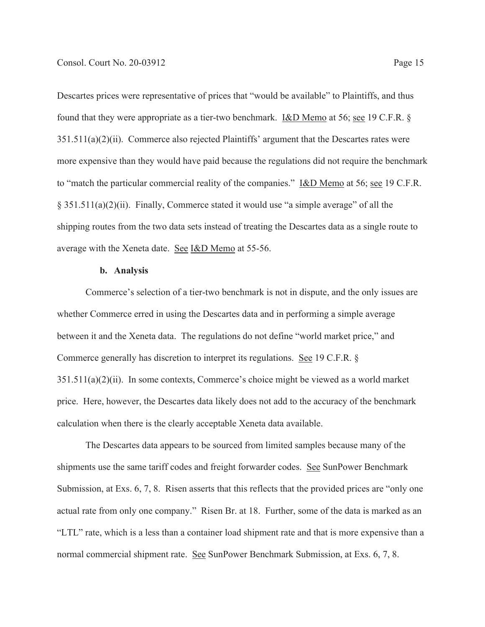Descartes prices were representative of prices that "would be available" to Plaintiffs, and thus found that they were appropriate as a tier-two benchmark. <u>I&D Memo</u> at 56; <u>see</u> 19 C.F.R. § 351.511(a)(2)(ii). Commerce also rejected Plaintiffs' argument that the Descartes rates were more expensive than they would have paid because the regulations did not require the benchmark to "match the particular commercial reality of the companies." I&D Memo at 56; see 19 C.F.R. § 351.511(a)(2)(ii). Finally, Commerce stated it would use "a simple average" of all the shipping routes from the two data sets instead of treating the Descartes data as a single route to average with the Xeneta date. See I&D Memo at 55-56.

### **b. Analysis**

Commerce's selection of a tier-two benchmark is not in dispute, and the only issues are whether Commerce erred in using the Descartes data and in performing a simple average between it and the Xeneta data. The regulations do not define "world market price," and Commerce generally has discretion to interpret its regulations. See 19 C.F.R. § 351.511(a)(2)(ii). In some contexts, Commerce's choice might be viewed as a world market price. Here, however, the Descartes data likely does not add to the accuracy of the benchmark calculation when there is the clearly acceptable Xeneta data available.

The Descartes data appears to be sourced from limited samples because many of the shipments use the same tariff codes and freight forwarder codes. See SunPower Benchmark Submission, at Exs. 6, 7, 8. Risen asserts that this reflects that the provided prices are "only one actual rate from only one company." Risen Br. at 18. Further, some of the data is marked as an "LTL" rate, which is a less than a container load shipment rate and that is more expensive than a normal commercial shipment rate. See SunPower Benchmark Submission, at Exs. 6, 7, 8.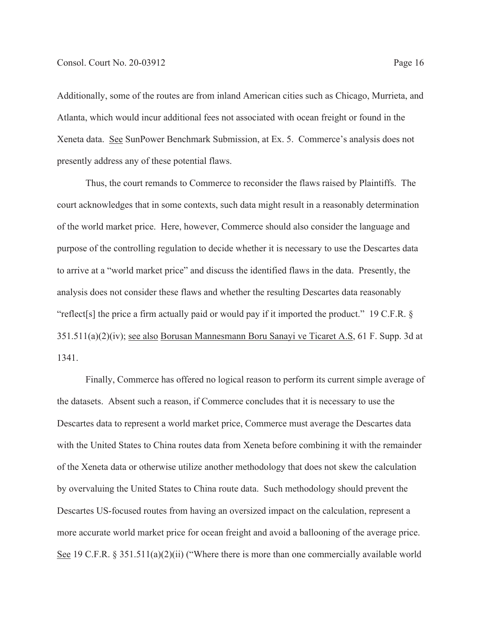Additionally, some of the routes are from inland American cities such as Chicago, Murrieta, and Atlanta, which would incur additional fees not associated with ocean freight or found in the Xeneta data. See SunPower Benchmark Submission, at Ex. 5. Commerce's analysis does not presently address any of these potential flaws.

Thus, the court remands to Commerce to reconsider the flaws raised by Plaintiffs. The court acknowledges that in some contexts, such data might result in a reasonably determination of the world market price. Here, however, Commerce should also consider the language and purpose of the controlling regulation to decide whether it is necessary to use the Descartes data to arrive at a "world market price" and discuss the identified flaws in the data. Presently, the analysis does not consider these flaws and whether the resulting Descartes data reasonably "reflect[s] the price a firm actually paid or would pay if it imported the product." 19 C.F.R. § 351.511(a)(2)(iv); see also Borusan Mannesmann Boru Sanayi ve Ticaret A.S, 61 F. Supp. 3d at 1341.

Finally, Commerce has offered no logical reason to perform its current simple average of the datasets. Absent such a reason, if Commerce concludes that it is necessary to use the Descartes data to represent a world market price, Commerce must average the Descartes data with the United States to China routes data from Xeneta before combining it with the remainder of the Xeneta data or otherwise utilize another methodology that does not skew the calculation by overvaluing the United States to China route data. Such methodology should prevent the Descartes US-focused routes from having an oversized impact on the calculation, represent a more accurate world market price for ocean freight and avoid a ballooning of the average price. See 19 C.F.R. § 351.511(a)(2)(ii) ("Where there is more than one commercially available world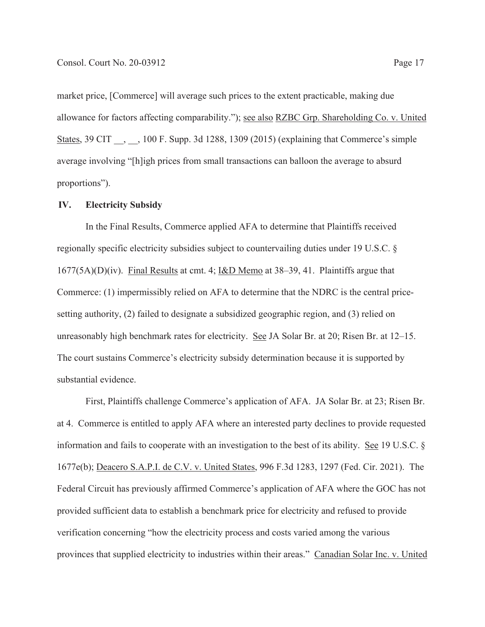market price, [Commerce] will average such prices to the extent practicable, making due allowance for factors affecting comparability."); see also RZBC Grp. Shareholding Co. v. United States, 39 CIT , , 100 F. Supp. 3d 1288, 1309 (2015) (explaining that Commerce's simple average involving "[h]igh prices from small transactions can balloon the average to absurd proportions").

#### **IV. Electricity Subsidy**

 In the Final Results, Commerce applied AFA to determine that Plaintiffs received regionally specific electricity subsidies subject to countervailing duties under 19 U.S.C. § 1677(5A)(D)(iv). Final Results at cmt. 4; I&D Memo at 38–39, 41. Plaintiffs argue that Commerce: (1) impermissibly relied on AFA to determine that the NDRC is the central pricesetting authority, (2) failed to designate a subsidized geographic region, and (3) relied on unreasonably high benchmark rates for electricity. See JA Solar Br. at 20; Risen Br. at 12–15. The court sustains Commerce's electricity subsidy determination because it is supported by substantial evidence.

 First, Plaintiffs challenge Commerce's application of AFA. JA Solar Br. at 23; Risen Br. at 4. Commerce is entitled to apply AFA where an interested party declines to provide requested information and fails to cooperate with an investigation to the best of its ability. See 19 U.S.C. § 1677e(b); Deacero S.A.P.I. de C.V. v. United States, 996 F.3d 1283, 1297 (Fed. Cir. 2021). The Federal Circuit has previously affirmed Commerce's application of AFA where the GOC has not provided sufficient data to establish a benchmark price for electricity and refused to provide verification concerning "how the electricity process and costs varied among the various provinces that supplied electricity to industries within their areas." Canadian Solar Inc. v. United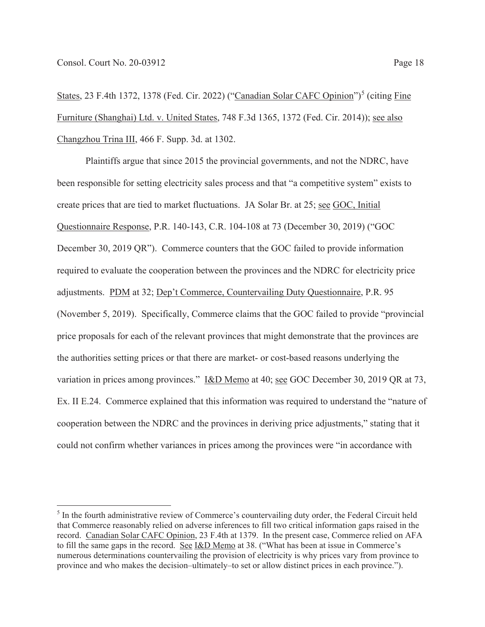States, 23 F.4th 1372, 1378 (Fed. Cir. 2022) ("Canadian Solar CAFC Opinion")<sup>5</sup> (citing Fine Furniture (Shanghai) Ltd. v. United States, 748 F.3d 1365, 1372 (Fed. Cir. 2014)); see also Changzhou Trina III, 466 F. Supp. 3d. at 1302.

 Plaintiffs argue that since 2015 the provincial governments, and not the NDRC, have been responsible for setting electricity sales process and that "a competitive system" exists to create prices that are tied to market fluctuations. JA Solar Br. at 25; see GOC, Initial Questionnaire Response, P.R. 140-143, C.R. 104-108 at 73 (December 30, 2019) ("GOC December 30, 2019 QR"). Commerce counters that the GOC failed to provide information required to evaluate the cooperation between the provinces and the NDRC for electricity price adjustments. PDM at 32; Dep't Commerce, Countervailing Duty Questionnaire, P.R. 95 (November 5, 2019). Specifically, Commerce claims that the GOC failed to provide "provincial price proposals for each of the relevant provinces that might demonstrate that the provinces are the authorities setting prices or that there are market- or cost-based reasons underlying the variation in prices among provinces." I&D Memo at 40; see GOC December 30, 2019 QR at 73, Ex. II E.24. Commerce explained that this information was required to understand the "nature of cooperation between the NDRC and the provinces in deriving price adjustments," stating that it could not confirm whether variances in prices among the provinces were "in accordance with

<sup>&</sup>lt;sup>5</sup> In the fourth administrative review of Commerce's countervailing duty order, the Federal Circuit held that Commerce reasonably relied on adverse inferences to fill two critical information gaps raised in the record. Canadian Solar CAFC Opinion, 23 F.4th at 1379. In the present case, Commerce relied on AFA to fill the same gaps in the record. See I&D Memo at 38. ("What has been at issue in Commerce's numerous determinations countervailing the provision of electricity is why prices vary from province to province and who makes the decision–ultimately–to set or allow distinct prices in each province.").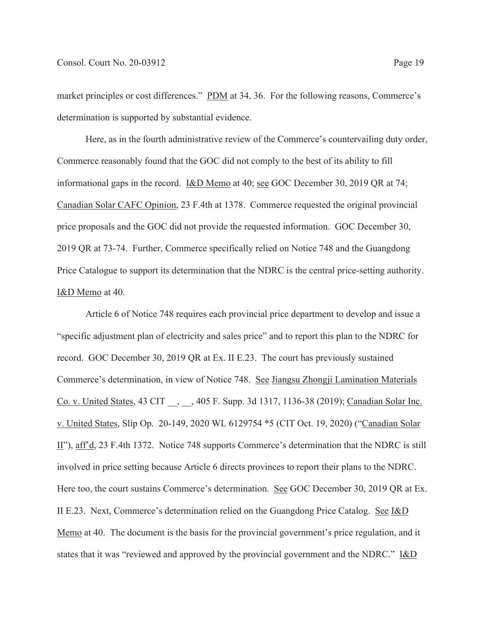market principles or cost differences." PDM at 34, 36. For the following reasons, Commerce's determination is supported by substantial evidence.

 Here, as in the fourth administrative review of the Commerce's countervailing duty order, Commerce reasonably found that the GOC did not comply to the best of its ability to fill informational gaps in the record. I&D Memo at 40; see GOC December 30, 2019 QR at 74; Canadian Solar CAFC Opinion, 23 F.4th at 1378. Commerce requested the original provincial price proposals and the GOC did not provide the requested information. GOC December 30, 2019 QR at 73-74. Further, Commerce specifically relied on Notice 748 and the Guangdong Price Catalogue to support its determination that the NDRC is the central price-setting authority. I&D Memo at 40.

 Article 6 of Notice 748 requires each provincial price department to develop and issue a "specific adjustment plan of electricity and sales price" and to report this plan to the NDRC for record. GOC December 30, 2019 QR at Ex. II E.23. The court has previously sustained Commerce's determination, in view of Notice 748. See Jiangsu Zhongji Lamination Materials Co. v. United States, 43 CIT \_\_, \_\_, 405 F. Supp. 3d 1317, 1136-38 (2019); Canadian Solar Inc. v. United States, Slip Op. 20-149, 2020 WL 6129754 \*5 (CIT Oct. 19, 2020) ("Canadian Solar II"), aff'd, 23 F.4th 1372. Notice 748 supports Commerce's determination that the NDRC is still involved in price setting because Article 6 directs provinces to report their plans to the NDRC. Here too, the court sustains Commerce's determination. See GOC December 30, 2019 QR at Ex. II E.23. Next, Commerce's determination relied on the Guangdong Price Catalog. See I&D Memo at 40. The document is the basis for the provincial government's price regulation, and it states that it was "reviewed and approved by the provincial government and the NDRC." I&D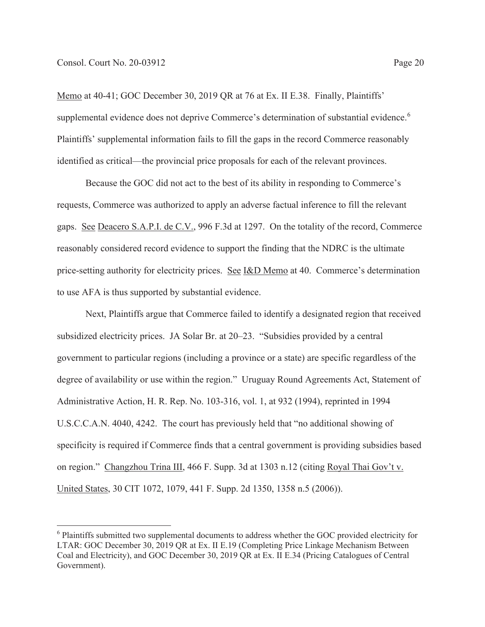Memo at 40-41; GOC December 30, 2019 QR at 76 at Ex. II E.38. Finally, Plaintiffs' supplemental evidence does not deprive Commerce's determination of substantial evidence.<sup>6</sup> Plaintiffs' supplemental information fails to fill the gaps in the record Commerce reasonably identified as critical—the provincial price proposals for each of the relevant provinces.

 Because the GOC did not act to the best of its ability in responding to Commerce's requests, Commerce was authorized to apply an adverse factual inference to fill the relevant gaps. See Deacero S.A.P.I. de C.V., 996 F.3d at 1297. On the totality of the record, Commerce reasonably considered record evidence to support the finding that the NDRC is the ultimate price-setting authority for electricity prices. See I&D Memo at 40. Commerce's determination to use AFA is thus supported by substantial evidence.

 Next, Plaintiffs argue that Commerce failed to identify a designated region that received subsidized electricity prices. JA Solar Br. at 20–23. "Subsidies provided by a central government to particular regions (including a province or a state) are specific regardless of the degree of availability or use within the region." Uruguay Round Agreements Act, Statement of Administrative Action, H. R. Rep. No. 103-316, vol. 1, at 932 (1994), reprinted in 1994 U.S.C.C.A.N. 4040, 4242. The court has previously held that "no additional showing of specificity is required if Commerce finds that a central government is providing subsidies based on region." Changzhou Trina III, 466 F. Supp. 3d at 1303 n.12 (citing Royal Thai Gov't v. United States, 30 CIT 1072, 1079, 441 F. Supp. 2d 1350, 1358 n.5 (2006)).

<sup>&</sup>lt;sup>6</sup> Plaintiffs submitted two supplemental documents to address whether the GOC provided electricity for LTAR: GOC December 30, 2019 QR at Ex. II E.19 (Completing Price Linkage Mechanism Between Coal and Electricity), and GOC December 30, 2019 QR at Ex. II E.34 (Pricing Catalogues of Central Government).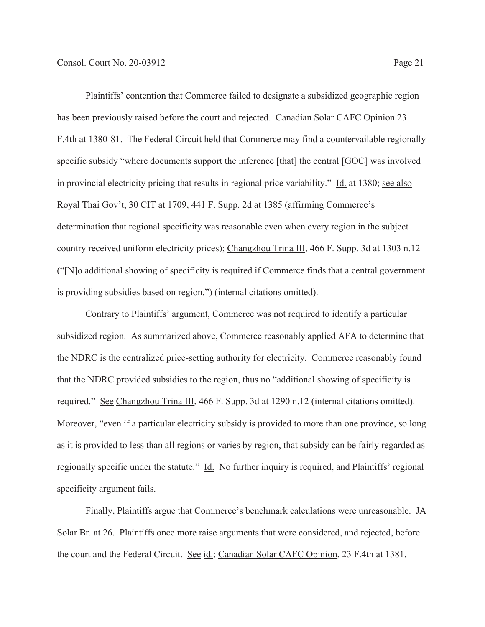Plaintiffs' contention that Commerce failed to designate a subsidized geographic region has been previously raised before the court and rejected. Canadian Solar CAFC Opinion 23 F.4th at 1380-81. The Federal Circuit held that Commerce may find a countervailable regionally specific subsidy "where documents support the inference [that] the central [GOC] was involved in provincial electricity pricing that results in regional price variability." Id. at 1380; see also Royal Thai Gov't, 30 CIT at 1709, 441 F. Supp. 2d at 1385 (affirming Commerce's determination that regional specificity was reasonable even when every region in the subject country received uniform electricity prices); Changzhou Trina III, 466 F. Supp. 3d at 1303 n.12 ("[N]o additional showing of specificity is required if Commerce finds that a central government is providing subsidies based on region.") (internal citations omitted).

 Contrary to Plaintiffs' argument, Commerce was not required to identify a particular subsidized region. As summarized above, Commerce reasonably applied AFA to determine that the NDRC is the centralized price-setting authority for electricity. Commerce reasonably found that the NDRC provided subsidies to the region, thus no "additional showing of specificity is required." See Changzhou Trina III, 466 F. Supp. 3d at 1290 n.12 (internal citations omitted). Moreover, "even if a particular electricity subsidy is provided to more than one province, so long as it is provided to less than all regions or varies by region, that subsidy can be fairly regarded as regionally specific under the statute." Id. No further inquiry is required, and Plaintiffs' regional specificity argument fails.

 Finally, Plaintiffs argue that Commerce's benchmark calculations were unreasonable. JA Solar Br. at 26. Plaintiffs once more raise arguments that were considered, and rejected, before the court and the Federal Circuit. See id.; Canadian Solar CAFC Opinion, 23 F.4th at 1381.